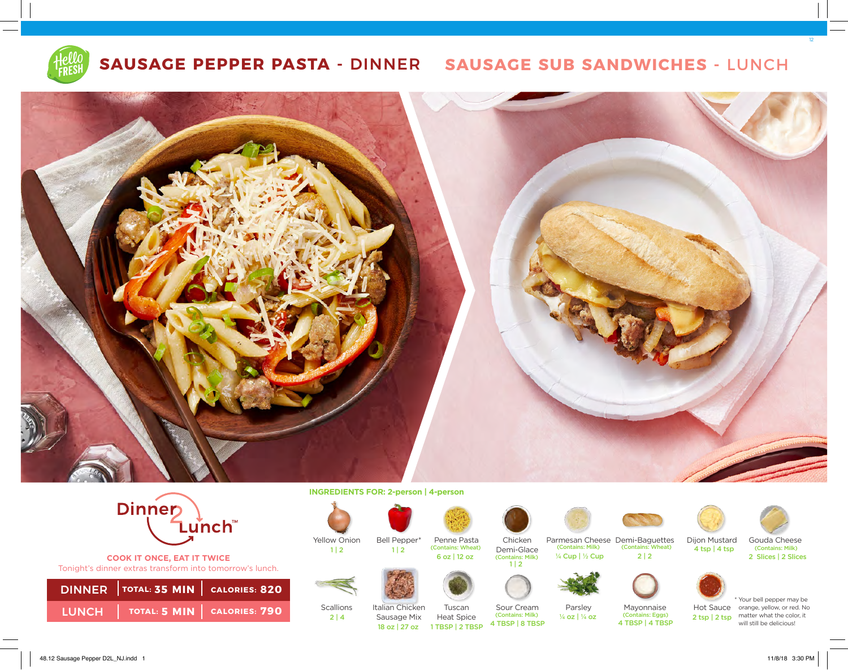

# **SAUSAGE PEPPER PASTA -** DINNER **SAUSAGE SUB SANDWICHES -** LUNCH





**COOK IT ONCE, EAT IT TWICE**  Tonight's dinner extras transform into tomorrow's lunch.

| DINNER TOTAL: 35 MIN   CALORIES: 820 |  |
|--------------------------------------|--|
| LUNCH   TOTAL: 5 MIN   CALORIES: 790 |  |

**INGREDIENTS FOR: 2-person | 4-person** 



Yellow Onion

 $1 | 2$ 

Scallions

 $2 | 4$ 



Bell Pepper\*

Italian Chicken Sausage Mix



Chicken Demi-Glace (Contains: Milk) (Contains: Wheat) 1 | 2 (Contains: Whea<br>6 oz | 12 oz



18 oz | 27 oz







Heat Spice Sour Cream<br>(Contains: Milk) 4 TBSP | 8 TBSP 4 TBSP | 4 TBSP 1 TBSP | 2 TBSP

 $1 | 2$ 



Parsley

¼ oz | ¼ oz

Parmesan Cheese Demi-Baguettes Dijon Mustard Gouda Cheese (Contains: Milk) ¼ Cup | ½ Cup





(Contains: Milk) 2 Slices | 2 Slices 12



(Contains: Eggs)<br>4 TBSP | 4 TBSP



2 tsp | 2 tsp matter what the color, it \* Your bell pepper may be Hot Sauce orange, yellow, or red. No will still be delicious!